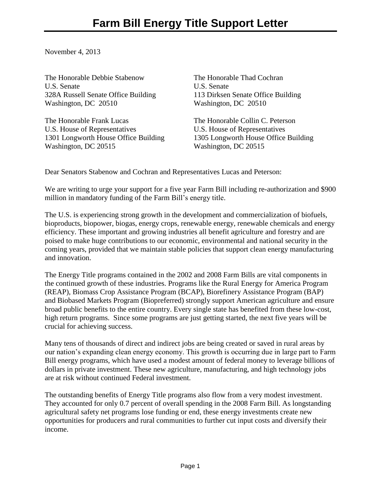November 4, 2013

The Honorable Debbie Stabenow U.S. Senate 328A Russell Senate Office Building Washington, DC 20510

The Honorable Frank Lucas U.S. House of Representatives 1301 Longworth House Office Building Washington, DC 20515

The Honorable Thad Cochran U.S. Senate 113 Dirksen Senate Office Building Washington, DC 20510

The Honorable Collin C. Peterson U.S. House of Representatives 1305 Longworth House Office Building Washington, DC 20515

Dear Senators Stabenow and Cochran and Representatives Lucas and Peterson:

We are writing to urge your support for a five year Farm Bill including re-authorization and \$900 million in mandatory funding of the Farm Bill's energy title.

The U.S. is experiencing strong growth in the development and commercialization of biofuels, bioproducts, biopower, biogas, energy crops, renewable energy, renewable chemicals and energy efficiency. These important and growing industries all benefit agriculture and forestry and are poised to make huge contributions to our economic, environmental and national security in the coming years, provided that we maintain stable policies that support clean energy manufacturing and innovation.

The Energy Title programs contained in the 2002 and 2008 Farm Bills are vital components in the continued growth of these industries. Programs like the Rural Energy for America Program (REAP), Biomass Crop Assistance Program (BCAP), Biorefinery Assistance Program (BAP) and Biobased Markets Program (Biopreferred) strongly support American agriculture and ensure broad public benefits to the entire country. Every single state has benefited from these low-cost, high return programs. Since some programs are just getting started, the next five years will be crucial for achieving success.

Many tens of thousands of direct and indirect jobs are being created or saved in rural areas by our nation's expanding clean energy economy. This growth is occurring due in large part to Farm Bill energy programs, which have used a modest amount of federal money to leverage billions of dollars in private investment. These new agriculture, manufacturing, and high technology jobs are at risk without continued Federal investment.

The outstanding benefits of Energy Title programs also flow from a very modest investment. They accounted for only 0.7 percent of overall spending in the 2008 Farm Bill. As longstanding agricultural safety net programs lose funding or end, these energy investments create new opportunities for producers and rural communities to further cut input costs and diversify their income.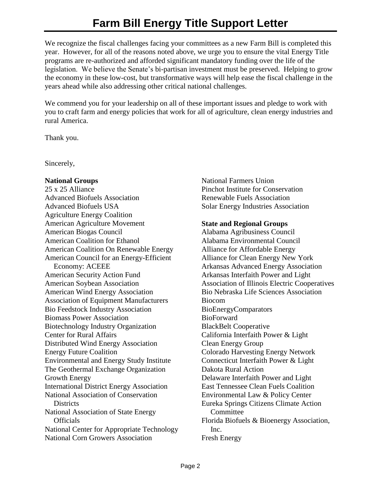We recognize the fiscal challenges facing your committees as a new Farm Bill is completed this year. However, for all of the reasons noted above, we urge you to ensure the vital Energy Title programs are re-authorized and afforded significant mandatory funding over the life of the legislation. We believe the Senate's bi-partisan investment must be preserved. Helping to grow the economy in these low-cost, but transformative ways will help ease the fiscal challenge in the years ahead while also addressing other critical national challenges.

We commend you for your leadership on all of these important issues and pledge to work with you to craft farm and energy policies that work for all of agriculture, clean energy industries and rural America.

Thank you.

Sincerely,

## **National Groups**

25 x 25 Alliance Advanced Biofuels Association Advanced Biofuels USA Agriculture Energy Coalition American Agriculture Movement American Biogas Council American Coalition for Ethanol American Coalition On Renewable Energy American Council for an Energy-Efficient Economy: ACEEE American Security Action Fund American Soybean Association American Wind Energy Association Association of Equipment Manufacturers Bio Feedstock Industry Association Biomass Power Association Biotechnology Industry Organization Center for Rural Affairs Distributed Wind Energy Association Energy Future Coalition Environmental and Energy Study Institute The Geothermal Exchange Organization Growth Energy International District Energy Association National Association of Conservation **Districts** National Association of State Energy **Officials** National Center for Appropriate Technology National Corn Growers Association

National Farmers Union Pinchot Institute for Conservation Renewable Fuels Association Solar Energy Industries Association

## **State and Regional Groups**

Alabama Agribusiness Council Alabama Environmental Council Alliance for Affordable Energy Alliance for Clean Energy New York Arkansas Advanced Energy Association Arkansas Interfaith Power and Light Association of Illinois Electric Cooperatives Bio Nebraska Life Sciences Association Biocom BioEnergyComparators BioForward BlackBelt Cooperative California Interfaith Power & Light Clean Energy Group Colorado Harvesting Energy Network Connecticut Interfaith Power & Light Dakota Rural Action Delaware Interfaith Power and Light East Tennessee Clean Fuels Coalition Environmental Law & Policy Center Eureka Springs Citizens Climate Action Committee Florida Biofuels & Bioenergy Association, Inc. Fresh Energy